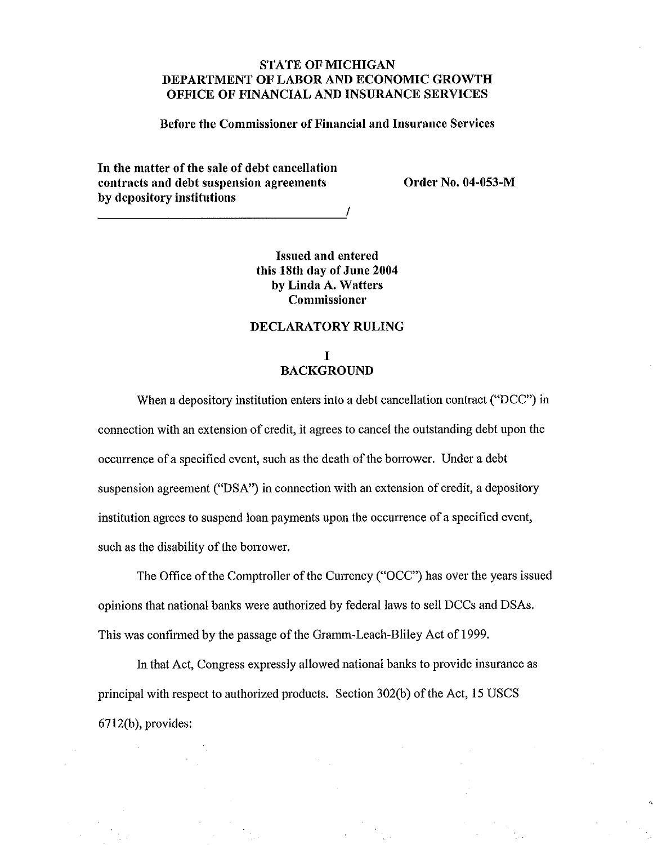## STATE OF MICHIGAN DEPARTMENT OF LABOR AND ECONOMIC GROWTH OFFICE OF FINANCIAL AND INSURANCE SERVICES

Before the Commissioner of Financial and Insurance Services

**In the matter of the sale of debt cancellation contracts and debt suspension agreements by depository institutions** 

**Order No. 04-053-M** 

by depository institutions

**Issued and entered this 18th day of June 2004 by Linda A. Watters Commissioner** 

## **DECLARATORY RULING**

I **BACKGROUND** 

When a depository institution enters into a debt cancellation contract ("DCC") in connection with an extension of credit, it agrees to cancel the outstanding debt upon the occurrence of a specified event, such as the death of the borrower. Under a debt suspension agreement ("DSA") in connection with an extension of credit, a depository institution agrees to suspend loan payments upon the occurrence of a specified event, such as the disability of the borrower.

The Office of the Comptroller of the Currency ("OCC") has over the years issued opinions that national banks were authorized by federal laws to sell DCCs and DSAs. This was confirmed by the passage of the Gramm-Leach-Bliley Act of 1999.

In that Act, Congress expressly allowed national banks to provide insurance as principal with respect to authorized products. Section 302(b) of the Act, 15 USCS 6712(b), provides: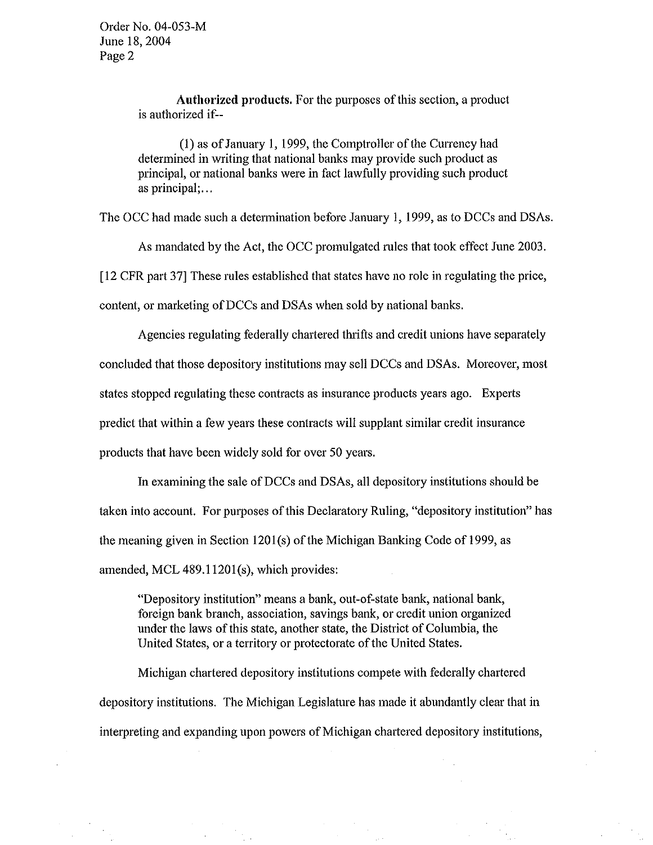Order No. 04-053-M June 18, 2004 Page 2

> **Authorized products.** For the purposes of this section, a product is authorized if--

> $(1)$  as of January 1, 1999, the Comptroller of the Currency had determined in writing that national banks may provide such product as principal, or national banks were in fact lawfully providing such product as principal; ...

The OCC had made such a determination before January 1, 1999, as to DCCs and DSAs.

As mandated by the Act, the OCC promulgated rules that took effect June 2003.

[12 CFR part 37] These rules established that states have no role in regulating the price,

content, or marketing of DCCs and DSAs when sold by national banks.

Agencies regulating federally chartered thrifts and credit unions have separately

concluded that those depository institutions may sell DCCs and DSAs. Moreover, most

states stopped regulating these contracts as insurance products years ago. Experts

predict that within a few years these contracts will supplant similar credit insurance

products that have been widely sold for over 50 years.

In examining the sale of DCCs and DSAs, all depository institutions should be taken into account. For purposes of this Declaratory Ruling, "depository institution" has the meaning given in Section 120l(s) of the Michigan Banking Code of 1999, as amended, MCL 489.11201(s), which provides:

"Depository institution" means a bank, out-of-state bank, national bank, foreign bank branch, association, savings bank, or credit union organized under the laws of this state, another state, the District of Columbia, the United States, or a territory or protectorate of the United States.

Michigan chartered depository institutions compete with federally chartered depository institutions. The Michigan Legislature has made it abundantly clear that in interpreting and expanding upon powers of Michigan chartered depository institutions,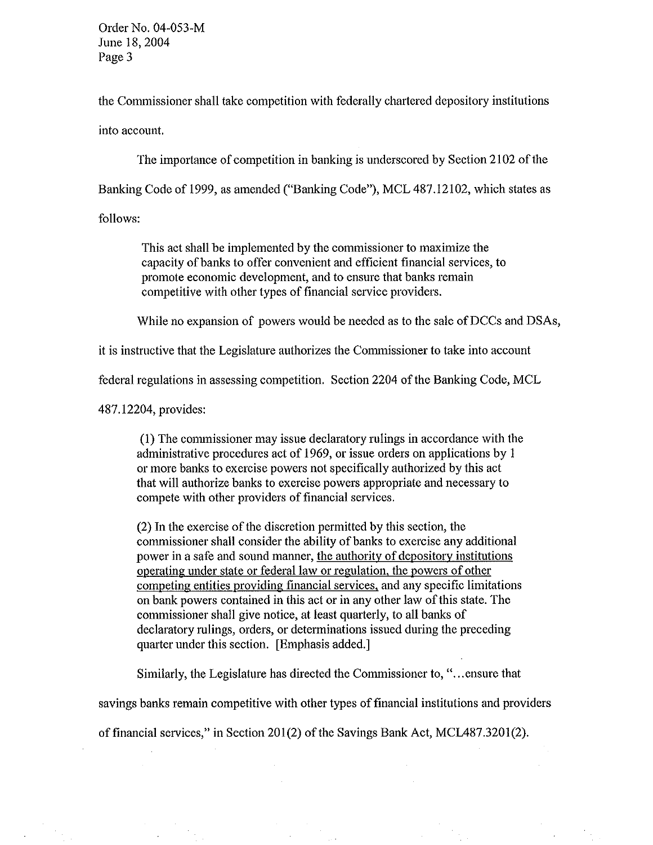Order No. 04-053-M June 18, 2004 Page 3

the Commissioner shall take competition with federally chartered depository institutions

into account.

The importance of competition in banking is underscored by Section 2102 of the

Banking Code of 1999, as amended ("Banking Code"), MCL 487.12102, which states as

follows:

This act shall be implemented by the commissioner to maximize the capacity of banks to offer convenient and efficient financial services, to promote economic development, and to ensure that banks remain competitive with other types of financial service providers.

While no expansion of powers would be needed as to the sale of DCCs and DSAs,

it is instructive that the Legislature authorizes the Commissioner to take into account

federal regulations in assessing competition. Section 2204 of the Banking Code, MCL

487.12204, provides:

(1) The commissioner may issue declaratory rulings in accordance with the administrative procedures act of 1969, or issue orders on applications by 1 or more banks to exercise powers not specifically authorized by this act that will authorize banks to exercise powers appropriate and necessary to compete with other providers of financial services.

 $(2)$  In the exercise of the discretion permitted by this section, the commissioner shall consider the ability of banks to exercise any additional power in a safe and sound manner, the authority of depository institutions operating under state or federal law or regulation, the powers of other competing entities providing financial services, and any specific limitations on bank powers contained in this act or in any other law ofthis state. The commissioner shall give notice, at least quarterly, to all banks of declaratory rulings, orders, or determinations issued during the preceding quarter under this section. [Emphasis added.]

Similarly, the Legislature has directed the Commissioner to, " ... ensure that

savings banks remain competitive with other types of financial institutions and providers

of financial services," in Section 201(2) of the Savings Bank Act, MCL487.3201(2).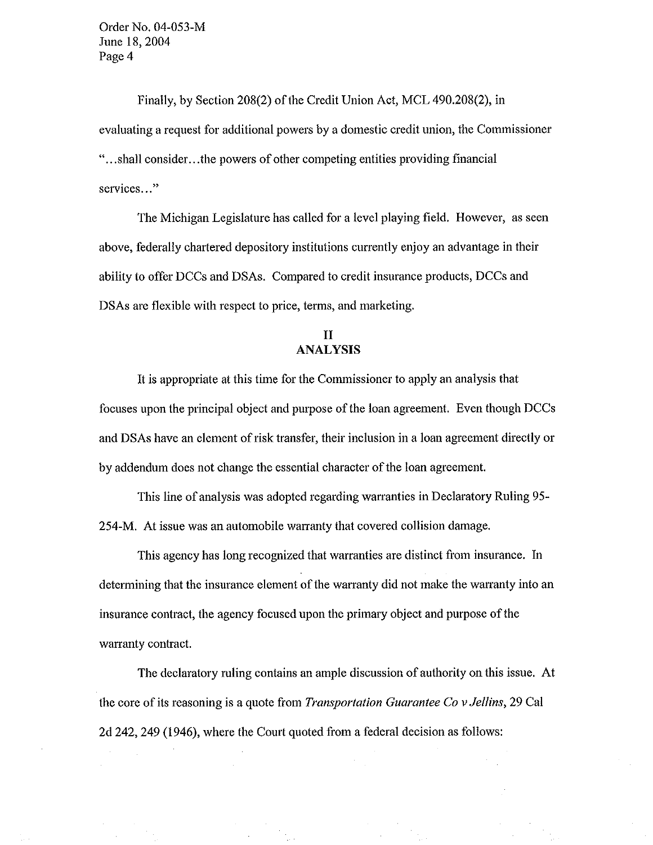Finally, by Section 208(2) of the Credit Union Act, MCL 490.208(2), in evaluating a request for additional powers by a domestic credit union, the Commissioner "...shall consider...the powers of other competing entities providing financial services..."

The Michigan Legislature has called for a level playing field. However, as seen above, federally chartered depository institutions currently enjoy an advantage in their ability to offer DCCs and DSAs. Compared to credit insurance products, DCCs and DSAs are flexible with respect to price, terms, and marketing.

## II **ANALYSIS**

It is appropriate at this time for the Commissioner to apply an analysis that focuses upon the principal object and purpose of the loan agreement. Even though DCCs and DSAs have an element ofrisk transfer, their inclusion in a loan agreement directly or by addendum does not change the essential character of the loan agreement.

This line of analysis was adopted regarding warranties in Declaratory Ruling 95- 254-M. At issue was an automobile warranty that covered collision damage.

This agency has long recognized that warranties are distinct from insurance. In determining that the insurance element of the warranty did not make the warranty into an insurance contract, the agency focused upon the primary object and purpose of the warranty contract.

The declaratory ruling contains an ample discussion of authority on this issue. At the core ofits reasoning is a quote from *Transportation Guarantee Co vJellins,* 29 Cal 2d 242,249 (1946), where the Court quoted from a federal decision as follows: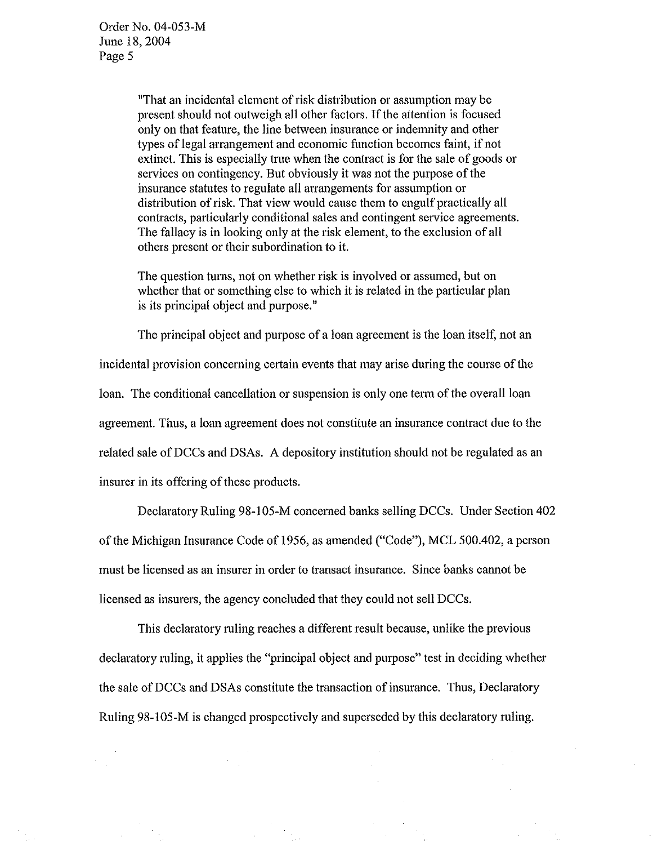"That an incidental element ofrisk distribution or assumption may be present should not outweigh all other factors. If the attention is focused only on that feature, the line between insurance or indemnity and other types of legal arrangement and economic function becomes faint, if not extinct. This is especially true when the contract is for the sale of goods or services on contingency. But obviously it was not the purpose of the insurance statutes to regulate all arrangements for assumption or distribution ofrisk. That view would cause them to engulf practically all contracts, particularly conditional sales and contingent service agreements. The fallacy is in looking only at the risk element, to the exclusion of all others present or their subordination to it.

The question turns, not on whether risk is involved or assumed, but on whether that or something else to which it is related in the particular plan is its principal object and purpose."

The principal object and purpose of a loan agreement is the loan itself, not an incidental provision concerning certain events that may arise during the course of the loan. The conditional cancellation or suspension is only one term of the overall loan agreement. Thus, a loan agreement does not constitute an insurance contract due to the related sale of DCCs and DSAs. A depository institution should not be regulated as an insurer in its offering of these products.

Declaratory Ruling 98-105-M concerned banks selling DCCs. Under Section 402 of the Michigan Insurance Code of 1956, as amended ("Code"), MCL 500.402, a person must be licensed as an insurer in order to transact insurance. Since banks cannot be licensed as insurers, the agency concluded that they could not sell DCCs.

This declaratory ruling reaches a different result because, unlike the previous declaratory ruling, it applies the "principal object and purpose" test in deciding whether the sale of DCCs and DSAs constitute the transaction of insurance. Thus, Declaratory Ruling 98-105-M is changed prospectively and superseded by this declaratory ruling.

 $\cdot$  .